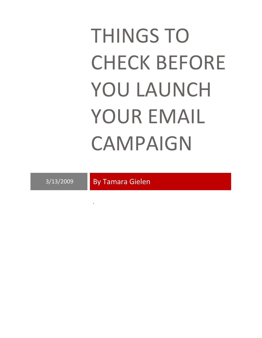# THINGS TO CHECK BEFORE YOU LAUNCH YOUR EMAIL CAMPAIGN

3/13/2009 By Tamara Gielen

.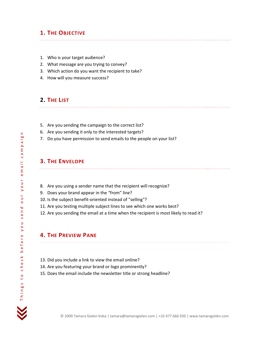### **1. THE OBJECTIVE**

- 1. Who is your target audience?
- 2. What message are you trying to convey?
- 3. Which action do you want the recipient to take?
- 4. How will you measure success?

## **2. THE LIST**

- 5. Are you sending the campaign to the correct list?
- 6. Are you sending it only to the interested targets?
- 7. Do you have permission to send emails to the people on your list?

## **3. THE ENVELOPE**

- 8. Are you using a sender name that the recipient will recognize?
- 9. Does your brand appear in the "from" line?
- 10. Is the subject benefit-oriented instead of "selling"?
- 11. Are you testing multiple subject lines to see which one works best?
- 12. Are you sending the email at a time when the recipient is most likely to read it?

# **4. THE PREVIEW PANE**

- 13. Did you include a link to view the email online?
- 14. Are you featuring your brand or logo prominently?
- 15. Does the email include the newsletter title or strong headline?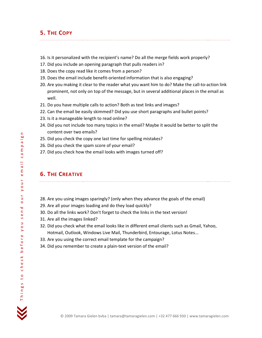## **5. THE COPY**

- 16. Is it personalized with the recipient's name? Do all the merge fields work properly?
- 17. Did you include an opening paragraph that pulls readers in?
- 18. Does the copy read like it comes from a person?
- 19. Does the email include benefit-oriented information that is also engaging?
- 20. Are you making it clear to the reader what you want him to do? Make the call-to-action link prominent, not only on top of the message, but in several additional places in the email as well.
- 21. Do you have multiple calls to action? Both as text links and images?
- 22. Can the email be easily skimmed? Did you use short paragraphs and bullet points?
- 23. Is it a manageable length to read online?
- 24. Did you not include too many topics in the email? Maybe it would be better to split the content over two emails?
- 25. Did you check the copy one last time for spelling mistakes?
- 26. Did you check the spam score of your email?
- 27. Did you check how the email looks with images turned off?

#### **6. THE CREATIVE**

28. Are you using images sparingly? (only when they advance the goals of the email)

- 29. Are all your images loading and do they load quickly?
- 30. Do all the links work? Don't forget to check the links in the text version!
- 31. Are all the images linked?
- 32. Did you check what the email looks like in different email clients such as Gmail, Yahoo, Hotmail, Outlook, Windows Live Mail, Thunderbird, Entourage, Lotus Notes...
- 33. Are you using the correct email template for the campaign?
- 34. Did you remember to create a plain-text version of the email?

Things to check before you send our your email campaign

send

n o A

our your email ca

 $\blacksquare$ paig  $\mathsf E$